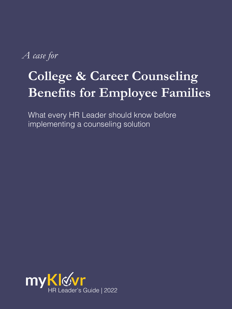*A case for*

# **College & Career Counseling Benefits for Employee Families**

What every HR Leader should know before implementing a counseling solution

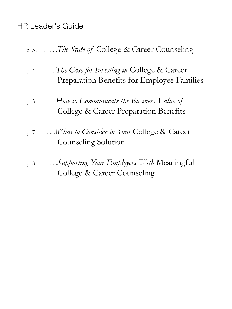### HR Leader's Guide

### p. 3………...*The State of* College & Career Counseling

p. 4………..*The Case for Investing in* College & Career Preparation Benefits for Employee Families

p. 5………..*How to Communicate the Business Value of*  College & Career Preparation Benefits

p. 7……......*What to Consider in Your* College & Career Counseling Solution

p. 8………...*Supporting Your Employees With* Meaningful College & Career Counseling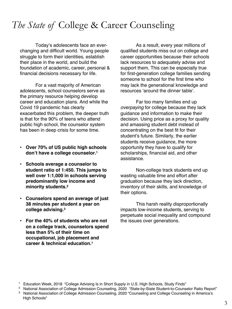## *The State of* College & Career Counseling

Today's adolescents face an everchanging and difficult world. Young people struggle to form their identities, establish their place in the world, and build the foundation of academic, career, personal & financial decisions necessary for life.

For a vast majority of American adolescents, school counselors serve as the primary resource helping develop career and education plans. And while the Covid 19 pandemic has clearly exacerbated this problem, the deeper truth is that for the 90% of teens who attend public high school, the counselor system has been in deep crisis for some time.

- **Over 70% of US public high schools don't have a college counselor.1**
- **Schools average a counselor to student ratio of 1:450. This jumps to well over 1:1,000 in schools serving predominantly low income and minority students.2**
- **Counselors spend an average of just 38 minutes per student a year on college advising.3**
- **For the 40% of students who are not on a college track, counselors spend less than 5% of their time on occupational, job placement and career & technical education.1**

As a result, every year millions of qualified students miss out on college and career opportunities because their schools lack resources to adequately advise and support them. This can be especially true for first-generation college families sending someone to school for the first time who may lack the generational knowledge and resources 'around the dinner table'.

Far too many families end up *overpaying* for college because they lack guidance and information to make their decision. Using price as a proxy for quality and amassing student debt instead of concentrating on the best fit for their student's future. Similarly, the earlier students receive guidance, the more opportunity they have to qualify for scholarships, financial aid, and other assistance.

Non-college track students end up wasting valuable time and effort after graduation because they lack direction, inventory of their skills, and knowledge of their options.

This harsh reality disproportionally impacts low-income students, serving to perpetuate social inequality and compound the issues over generations.

<sup>1</sup> Education Week, 2018 "College Advising Is in Short Supply in U.S. High Schools, Study Finds"

<sup>&</sup>lt;sup>2</sup> National Association of College Admission Counseling, 2020 "State-by-State Student-to-Counselor Ratio Report"

<sup>&</sup>lt;sup>3</sup> National Association of College Admission Counseling, 2020 "Counseling and College Counseling in America's High Schools"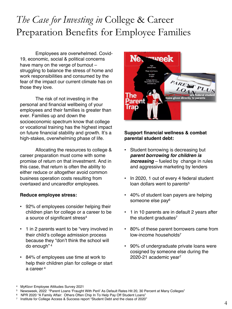## *The Case for Investing in* College & Career Preparation Benefits for Employee Families

Employees are overwhelmed. Covid-19, economic, social & political concerns have many on the verge of burnout – struggling to balance the stress of home and work responsibilities and consumed by the fear of the impact our current climate has on those they love.

The risk of not investing in the personal and financial wellbeing of your employees and their families is greater than ever. Families up and down the socioeconomic spectrum know that college or vocational training has the highest impact on future financial stability and growth. It's a high-stakes, overwhelming phase of life.

Allocating the resources to college & career preparation must come with some promise of return on that investment. And in this case, that return is often the ability to either reduce or altogether avoid common business operation costs resulting from overtaxed and uncaredfor employees.

#### **Reduce employee stress:**

- 92% of employees consider helping their children plan for college or a career to be a source of significant stress<sup>4</sup>
- 1 in 2 parents want to be "very involved in their child's college admission process because they "don't think the school will do enough" <sup>4</sup>
- 84% of employees use time at work to help their children plan for college or start a career <sup>4</sup>



#### **Support financial wellness & combat parental student debt:**

- Student borrowing is decreasing but *parent borrowing for children is increasing* – fueled by change in rules and aggressive marketing by lenders
- In 2020, 1 out of every 4 federal student loan dollars went to parents<sup>5</sup>
- 40% of student loan payers are helping someone else pay<sup>6</sup>
- 1 in 10 parents are in default 2 years after the student graduates<sup>7</sup>
- 80% of these parent borrowers came from low-income households7
- 90% of undergraduate private loans were cosigned by someone else during the 2020-21 academic year7

<sup>4</sup> MyKlovr Employee Attitudes Survey 2021

<sup>5</sup> Newsweek, 2022 "Parent Loans 'Fraught With Peril' As Default Rates Hit 20, 30 Percent at Many Colleges"

<sup>6</sup> NPR 2020 "A Family Affair: Others Often Chip In To Help Pay Off Student Loans"

<sup>7</sup> Institute for College Access & Success report "Student Debt and the class of 2020"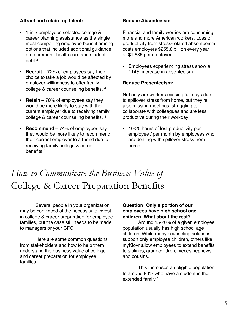#### **Attract and retain top talent:**

- 1 in 3 employees selected college & career planning assistance as the single most compelling employee benefit among options that included additional guidance on retirement, health care and student debt<sup>4</sup>
- **Recruit** 72% of employees say their choice to take a job would be affected by employer willingness to offer family college & career counseling benefits. 4
- **Retain** 70% of employees say they would be more likely to stay with their current employer due to receiving family college & career counseling benefits. 4
- **Recommend** 74% of employees say they would be more likely to recommend their current employer to a friend due to receiving family college & career benefits.4

#### **Reduce Absenteeism**

Financial and family worries are consuming more and more American workers. Loss of productivity from stress-related absenteeism costs employers \$255.8 billion every year, or \$1,685 per employee.

• Employees experiencing stress show a 114% increase in absenteeism.

#### **Reduce Presenteeism:**

Not only are workers missing full days due to spillover stress from home, but they're also missing meetings, struggling to collaborate with colleagues and are less productive during their workday.

• 10-20 hours of lost productivity per employee / per month by employees who are dealing with spillover stress from home.

### *How to Communicate the Business Value of*  College & Career Preparation Benefits

Several people in your organization may be convinced of the necessity to invest in college & career preparation for employee families, but the case still needs to be made to managers or your CFO.

Here are some common questions from stakeholders and how to help them understand the business value of college and career preparation for employee families.

#### **Question: Only a portion of our employees have high school age children. What about the rest?**

Around 15-20% of a given employee population usually has high school age children. While many counseling solutions support only employee children, others like myKlovr allow employees to extend benefits to siblings, grandchildren, nieces nephews and cousins.

This increases an eligible population to around 80% who have a student in their extended family <sup>4</sup>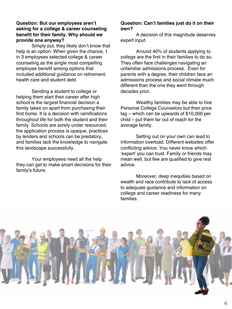#### **Question: But our employees aren't asking for a college & career counseling benefit for their family. Why should we provide one anyway?**

Simply put, they likely don't know that help is an option. When given the chance, 1 in 3 employees selected college & career counseling as the single most compelling employee benefit among options that included additional guidance on retirement, health care and student debt.

Sending a student to college or helping them start their career after high school is the largest financial decision a family takes on apart from purchasing their first home. It is a decision with ramifications throughout life for both the student and their family. Schools are sorely under resourced, the application process is opaque, practices by lenders and schools can be predatory, and families lack the knowledge to navigate this landscape successfully.

Your employees need all the help they can get to make smart decisions for their family's future.

#### **Question: Can't families just do it on their own?**

A decision of this magnitude deserves expert input.

Around 40% of students applying to college are the first in their families to do so. They often face challenges navigating an unfamiliar admissions process. Even for parents with a degree, their children face an admissions process and social climate much different than the one they went through decades prior.

Wealthy families may be able to hire Personal College Counselors but their price tag – which can be upwards of \$10,000 per child – put them far out of reach for the average family.

Setting out on your own can lead to information overload. Different websites offer conflicting advice. You never know which 'expert' you can trust. Family or friends may mean well, but few are qualified to give real advice.

Moreover, deep inequities based on wealth and race contribute to lack of access to adequate guidance and information on college and career readiness for many families.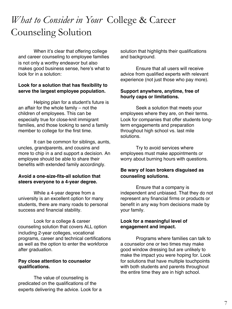### *What to Consider in Your* College & Career Counseling Solution

When it's clear that offering college and career counseling to employee families is not only a worthy endeavor but also makes good business sense, here's what to look for in a solution:

#### **Look for a solution that has flexibility to serve the largest employee population.**

Helping plan for a student's future is an affair for the whole family – not the children of employees. This can be especially true for close-knit immigrant families, and those looking to send a family member to college for the first time.

It can be common for siblings, aunts, uncles, grandparents, and cousins and more to chip in a and support a decision. An employee should be able to share their benefits with extended family accordingly.

#### **Avoid a one-size-fits-all solution that steers everyone to a 4-year degree.**

While a 4-year degree from a university is an excellent option for many students, there are many roads to personal success and financial stability.

Look for a college & career counseling solution that covers ALL option including 2-year colleges, vocational programs, career and technical certifications as well as the option to enter the workforce after graduation.

#### **Pay close attention to counselor qualifications.**

The value of counseling is predicated on the qualifications of the experts delivering the advice. Look for a solution that highlights their qualifications and background.

Ensure that all users will receive advice from qualified experts with relevant experience (not just those who pay more).

#### **Support anywhere, anytime, free of hourly caps or limitations.**

Seek a solution that meets your employees where they are, on their terms. Look for companies that offer students longterm engagements and preparation throughout high school vs. last mile solutions.

Try to avoid services where employees must make appointments or worry about burning hours with questions.

#### **Be wary of loan brokers disguised as counseling solutions.**

Ensure that a company is independent and unbiased. That they do not represent any financial firms or products or benefit in any way from decisions made by your family.

#### **Look for a meaningful level of engagement and impact.**

Programs where families can talk to a counselor one or two times may make good window dressing but are unlikely to make the impact you were hoping for. Look for solutions that have multiple touchpoints with both students and parents throughout the entire time they are in high school.